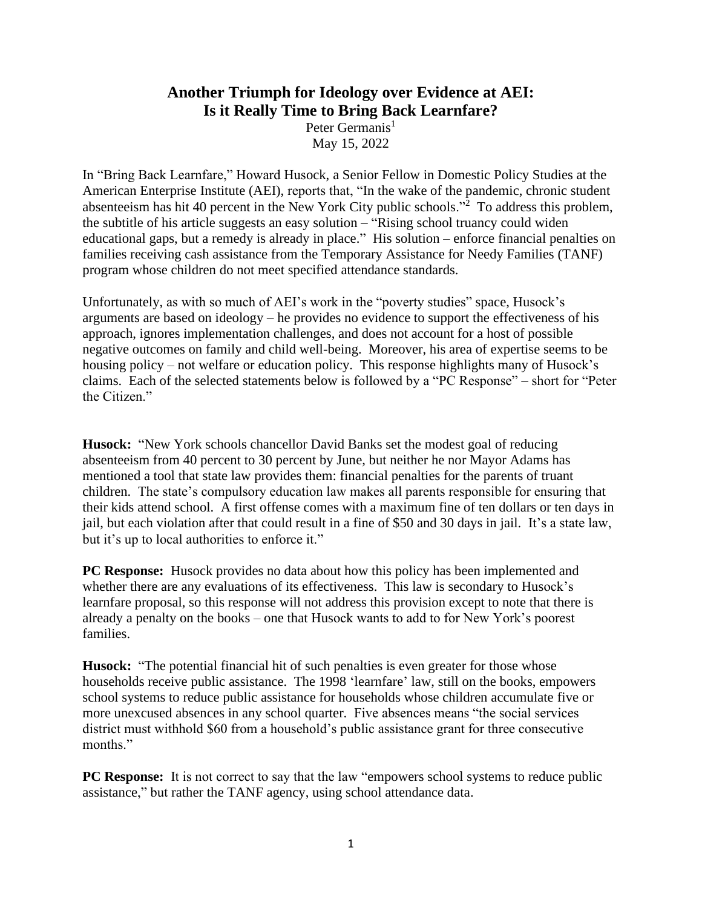## **Another Triumph for Ideology over Evidence at AEI: Is it Really Time to Bring Back Learnfare?**

Peter Germanis<sup>1</sup> May 15, 2022

In "Bring Back Learnfare," Howard Husock, a Senior Fellow in Domestic Policy Studies at the American Enterprise Institute (AEI), reports that, "In the wake of the pandemic, chronic student absenteeism has hit 40 percent in the New York City public schools.<sup> $2$ </sup> To address this problem, the subtitle of his article suggests an easy solution – "Rising school truancy could widen educational gaps, but a remedy is already in place." His solution – enforce financial penalties on families receiving cash assistance from the Temporary Assistance for Needy Families (TANF) program whose children do not meet specified attendance standards.

Unfortunately, as with so much of AEI's work in the "poverty studies" space, Husock's arguments are based on ideology – he provides no evidence to support the effectiveness of his approach, ignores implementation challenges, and does not account for a host of possible negative outcomes on family and child well-being. Moreover, his area of expertise seems to be housing policy – not welfare or education policy. This response highlights many of Husock's claims. Each of the selected statements below is followed by a "PC Response" – short for "Peter the Citizen."

**Husock:** "New York schools chancellor David Banks set the modest goal of reducing absenteeism from 40 percent to 30 percent by June, but neither he nor Mayor Adams has mentioned a tool that state law provides them: financial penalties for the parents of truant children. The state's compulsory education law makes all parents responsible for ensuring that their kids attend school. A first offense comes with a maximum fine of ten dollars or ten days in jail, but each violation after that could result in a fine of \$50 and 30 days in jail. It's a state law, but it's up to local authorities to enforce it."

**PC Response:** Husock provides no data about how this policy has been implemented and whether there are any evaluations of its effectiveness. This law is secondary to Husock's learnfare proposal, so this response will not address this provision except to note that there is already a penalty on the books – one that Husock wants to add to for New York's poorest families.

**Husock:** "The potential financial hit of such penalties is even greater for those whose households receive public assistance. The 1998 'learnfare' law, still on the books, empowers school systems to reduce public assistance for households whose children accumulate five or more unexcused absences in any school quarter. Five absences means "the social services district must withhold \$60 from a household's public assistance grant for three consecutive months."

**PC Response:** It is not correct to say that the law "empowers school systems to reduce public assistance," but rather the TANF agency, using school attendance data.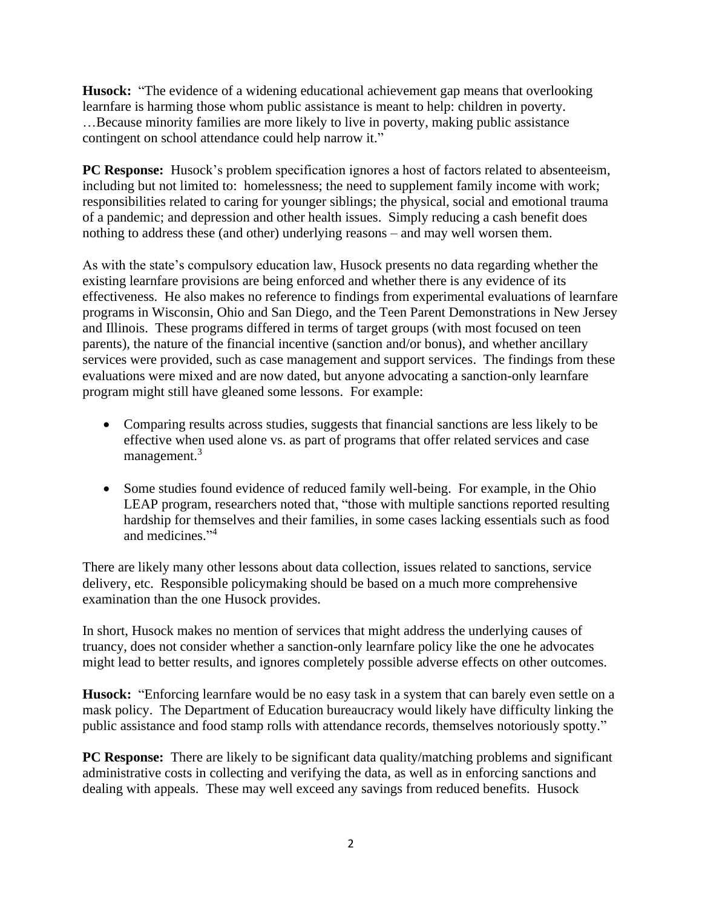**Husock:** "The evidence of a widening educational achievement gap means that overlooking learnfare is harming those whom public assistance is meant to help: children in poverty. …Because minority families are more likely to live in poverty, making public assistance contingent on school attendance could help narrow it."

**PC Response:** Husock's problem specification ignores a host of factors related to absenteeism, including but not limited to: homelessness; the need to supplement family income with work; responsibilities related to caring for younger siblings; the physical, social and emotional trauma of a pandemic; and depression and other health issues. Simply reducing a cash benefit does nothing to address these (and other) underlying reasons – and may well worsen them.

As with the state's compulsory education law, Husock presents no data regarding whether the existing learnfare provisions are being enforced and whether there is any evidence of its effectiveness. He also makes no reference to findings from experimental evaluations of learnfare programs in Wisconsin, Ohio and San Diego, and the Teen Parent Demonstrations in New Jersey and Illinois. These programs differed in terms of target groups (with most focused on teen parents), the nature of the financial incentive (sanction and/or bonus), and whether ancillary services were provided, such as case management and support services. The findings from these evaluations were mixed and are now dated, but anyone advocating a sanction-only learnfare program might still have gleaned some lessons. For example:

- Comparing results across studies, suggests that financial sanctions are less likely to be effective when used alone vs. as part of programs that offer related services and case management.<sup>3</sup>
- Some studies found evidence of reduced family well-being. For example, in the Ohio LEAP program, researchers noted that, "those with multiple sanctions reported resulting hardship for themselves and their families, in some cases lacking essentials such as food and medicines." 4

There are likely many other lessons about data collection, issues related to sanctions, service delivery, etc. Responsible policymaking should be based on a much more comprehensive examination than the one Husock provides.

In short, Husock makes no mention of services that might address the underlying causes of truancy, does not consider whether a sanction-only learnfare policy like the one he advocates might lead to better results, and ignores completely possible adverse effects on other outcomes.

**Husock:** "Enforcing learnfare would be no easy task in a system that can barely even settle on a mask policy. The Department of Education bureaucracy would likely have difficulty linking the public assistance and food stamp rolls with attendance records, themselves notoriously spotty."

**PC Response:** There are likely to be significant data quality/matching problems and significant administrative costs in collecting and verifying the data, as well as in enforcing sanctions and dealing with appeals. These may well exceed any savings from reduced benefits. Husock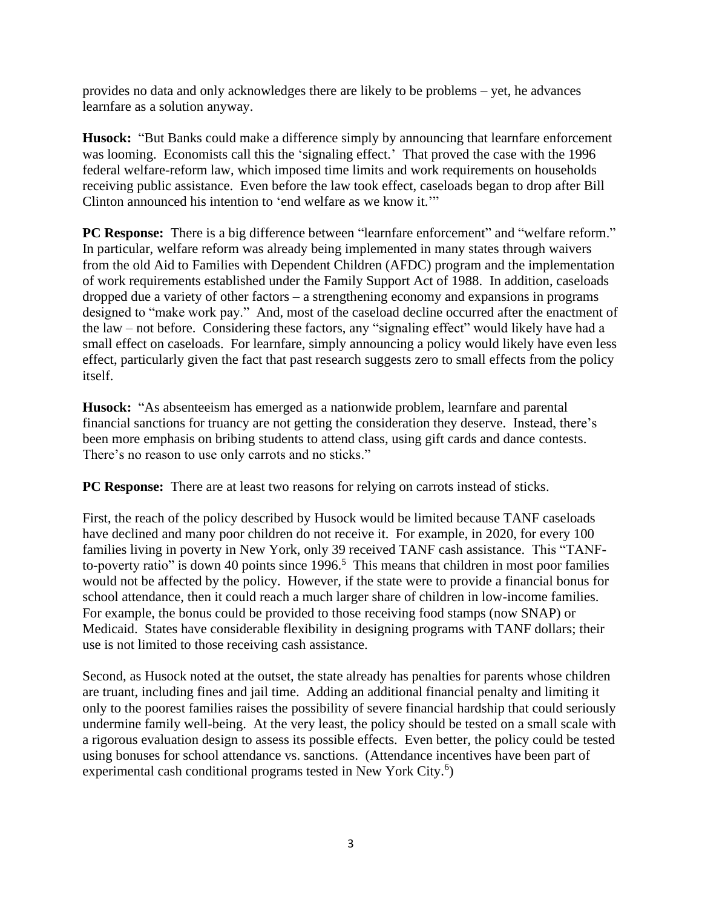provides no data and only acknowledges there are likely to be problems – yet, he advances learnfare as a solution anyway.

**Husock:** "But Banks could make a difference simply by announcing that learnfare enforcement was looming. Economists call this the 'signaling effect.' That proved the case with the 1996 federal welfare-reform law, which imposed time limits and work requirements on households receiving public assistance. Even before the law took effect, caseloads began to drop after Bill Clinton announced his intention to 'end welfare as we know it.'"

**PC Response:** There is a big difference between "learnfare enforcement" and "welfare reform." In particular, welfare reform was already being implemented in many states through waivers from the old Aid to Families with Dependent Children (AFDC) program and the implementation of work requirements established under the Family Support Act of 1988. In addition, caseloads dropped due a variety of other factors – a strengthening economy and expansions in programs designed to "make work pay." And, most of the caseload decline occurred after the enactment of the law – not before. Considering these factors, any "signaling effect" would likely have had a small effect on caseloads. For learnfare, simply announcing a policy would likely have even less effect, particularly given the fact that past research suggests zero to small effects from the policy itself.

**Husock:** "As absenteeism has emerged as a nationwide problem, learnfare and parental financial sanctions for truancy are not getting the consideration they deserve. Instead, there's been more emphasis on bribing students to attend class, using gift cards and dance contests. There's no reason to use only carrots and no sticks."

**PC Response:** There are at least two reasons for relying on carrots instead of sticks.

First, the reach of the policy described by Husock would be limited because TANF caseloads have declined and many poor children do not receive it. For example, in 2020, for every 100 families living in poverty in New York, only 39 received TANF cash assistance. This "TANFto-poverty ratio" is down 40 points since  $1996$ .<sup>5</sup> This means that children in most poor families would not be affected by the policy. However, if the state were to provide a financial bonus for school attendance, then it could reach a much larger share of children in low-income families. For example, the bonus could be provided to those receiving food stamps (now SNAP) or Medicaid. States have considerable flexibility in designing programs with TANF dollars; their use is not limited to those receiving cash assistance.

Second, as Husock noted at the outset, the state already has penalties for parents whose children are truant, including fines and jail time. Adding an additional financial penalty and limiting it only to the poorest families raises the possibility of severe financial hardship that could seriously undermine family well-being. At the very least, the policy should be tested on a small scale with a rigorous evaluation design to assess its possible effects. Even better, the policy could be tested using bonuses for school attendance vs. sanctions. (Attendance incentives have been part of experimental cash conditional programs tested in New York City.<sup>6</sup>)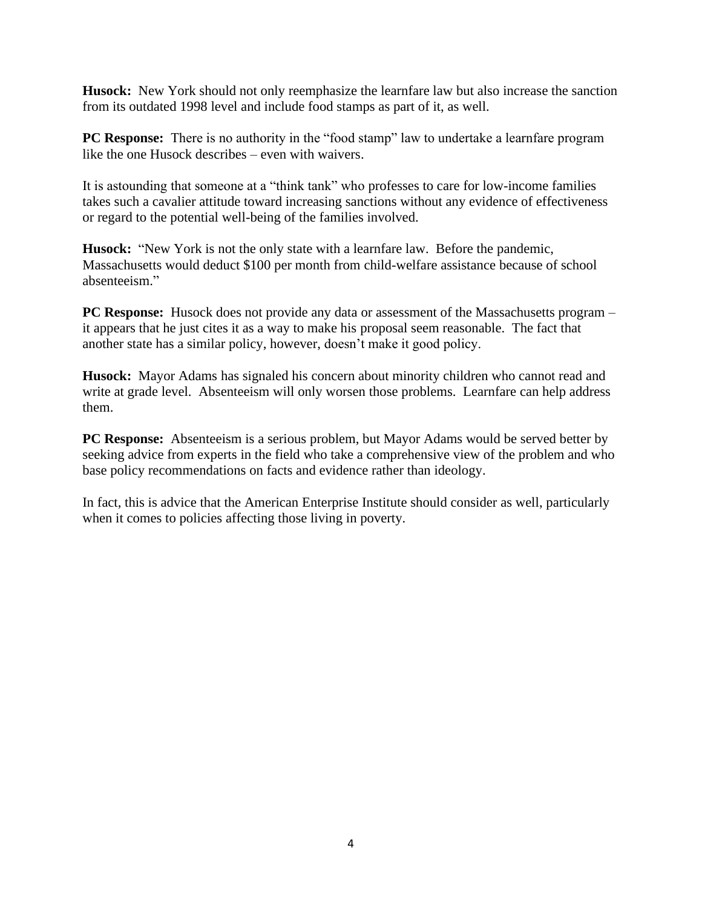**Husock:** New York should not only reemphasize the learnfare law but also increase the sanction from its outdated 1998 level and include food stamps as part of it, as well.

**PC Response:** There is no authority in the "food stamp" law to undertake a learnfare program like the one Husock describes – even with waivers.

It is astounding that someone at a "think tank" who professes to care for low-income families takes such a cavalier attitude toward increasing sanctions without any evidence of effectiveness or regard to the potential well-being of the families involved.

**Husock:** "New York is not the only state with a learnfare law. Before the pandemic, Massachusetts would deduct \$100 per month from child-welfare assistance because of school absenteeism."

**PC Response:** Husock does not provide any data or assessment of the Massachusetts program – it appears that he just cites it as a way to make his proposal seem reasonable. The fact that another state has a similar policy, however, doesn't make it good policy.

**Husock:** Mayor Adams has signaled his concern about minority children who cannot read and write at grade level. Absenteeism will only worsen those problems. Learnfare can help address them.

**PC Response:** Absenteeism is a serious problem, but Mayor Adams would be served better by seeking advice from experts in the field who take a comprehensive view of the problem and who base policy recommendations on facts and evidence rather than ideology.

In fact, this is advice that the American Enterprise Institute should consider as well, particularly when it comes to policies affecting those living in poverty.